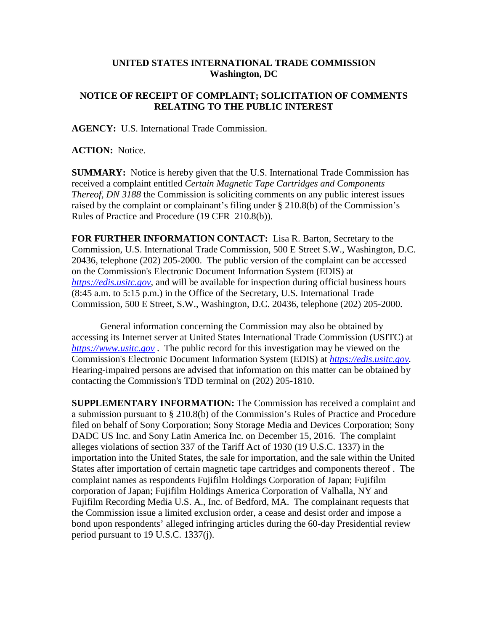## **UNITED STATES INTERNATIONAL TRADE COMMISSION Washington, DC**

## **NOTICE OF RECEIPT OF COMPLAINT; SOLICITATION OF COMMENTS RELATING TO THE PUBLIC INTEREST**

**AGENCY:** U.S. International Trade Commission.

**ACTION:** Notice.

**SUMMARY:** Notice is hereby given that the U.S. International Trade Commission has received a complaint entitled *Certain Magnetic Tape Cartridges and Components Thereof, DN 3188* the Commission is soliciting comments on any public interest issues raised by the complaint or complainant's filing under § 210.8(b) of the Commission's Rules of Practice and Procedure (19 CFR 210.8(b)).

**FOR FURTHER INFORMATION CONTACT:** Lisa R. Barton, Secretary to the Commission, U.S. International Trade Commission, 500 E Street S.W., Washington, D.C. 20436, telephone (202) 205-2000. The public version of the complaint can be accessed on the Commission's Electronic Document Information System (EDIS) at *[https://edis.usitc.gov](https://edis.usitc.gov/)*, and will be available for inspection during official business hours (8:45 a.m. to 5:15 p.m.) in the Office of the Secretary, U.S. International Trade Commission, 500 E Street, S.W., Washington, D.C. 20436, telephone (202) 205-2000.

General information concerning the Commission may also be obtained by accessing its Internet server at United States International Trade Commission (USITC) at *[https://www.usitc.gov](https://www.usitc.gov/)* . The public record for this investigation may be viewed on the Commission's Electronic Document Information System (EDIS) at *[https://edis.usitc.gov.](https://edis.usitc.gov/)* Hearing-impaired persons are advised that information on this matter can be obtained by contacting the Commission's TDD terminal on (202) 205-1810.

**SUPPLEMENTARY INFORMATION:** The Commission has received a complaint and a submission pursuant to § 210.8(b) of the Commission's Rules of Practice and Procedure filed on behalf of Sony Corporation; Sony Storage Media and Devices Corporation; Sony DADC US Inc. and Sony Latin America Inc. on December 15, 2016. The complaint alleges violations of section 337 of the Tariff Act of 1930 (19 U.S.C. 1337) in the importation into the United States, the sale for importation, and the sale within the United States after importation of certain magnetic tape cartridges and components thereof . The complaint names as respondents Fujifilm Holdings Corporation of Japan; Fujifilm corporation of Japan; Fujifilm Holdings America Corporation of Valhalla, NY and Fujifilm Recording Media U.S. A., Inc. of Bedford, MA. The complainant requests that the Commission issue a limited exclusion order, a cease and desist order and impose a bond upon respondents' alleged infringing articles during the 60-day Presidential review period pursuant to 19 U.S.C. 1337(j).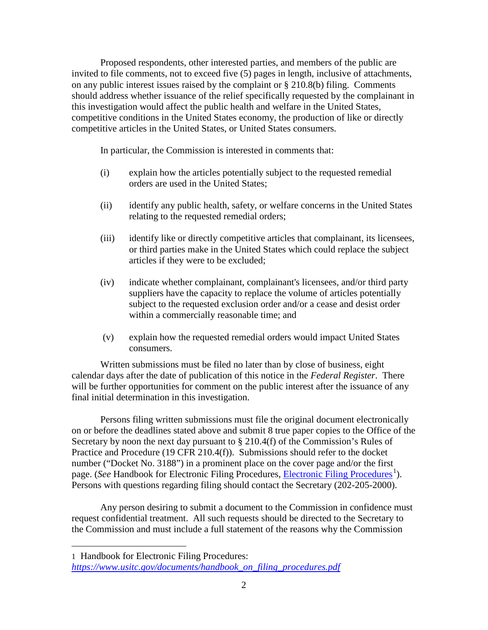Proposed respondents, other interested parties, and members of the public are invited to file comments, not to exceed five (5) pages in length, inclusive of attachments, on any public interest issues raised by the complaint or § 210.8(b) filing. Comments should address whether issuance of the relief specifically requested by the complainant in this investigation would affect the public health and welfare in the United States, competitive conditions in the United States economy, the production of like or directly competitive articles in the United States, or United States consumers.

In particular, the Commission is interested in comments that:

- (i) explain how the articles potentially subject to the requested remedial orders are used in the United States;
- (ii) identify any public health, safety, or welfare concerns in the United States relating to the requested remedial orders;
- (iii) identify like or directly competitive articles that complainant, its licensees, or third parties make in the United States which could replace the subject articles if they were to be excluded;
- (iv) indicate whether complainant, complainant's licensees, and/or third party suppliers have the capacity to replace the volume of articles potentially subject to the requested exclusion order and/or a cease and desist order within a commercially reasonable time; and
- (v) explain how the requested remedial orders would impact United States consumers.

Written submissions must be filed no later than by close of business, eight calendar days after the date of publication of this notice in the *Federal Register*. There will be further opportunities for comment on the public interest after the issuance of any final initial determination in this investigation.

Persons filing written submissions must file the original document electronically on or before the deadlines stated above and submit 8 true paper copies to the Office of the Secretary by noon the next day pursuant to  $\S 210.4(f)$  of the Commission's Rules of Practice and Procedure (19 CFR 210.4(f)). Submissions should refer to the docket number ("Docket No. 3188") in a prominent place on the cover page and/or the first page. (*See* Handbook for [Electronic Filing Procedures](http://www.usitc.gov/secretary/fed_reg_notices/rules/handbook_on_electronic_filing.pdf), *Electronic Filing Procedures*<sup>[1](#page-1-0)</sup>). Persons with questions regarding filing should contact the Secretary (202-205-2000).

Any person desiring to submit a document to the Commission in confidence must request confidential treatment. All such requests should be directed to the Secretary to the Commission and must include a full statement of the reasons why the Commission

 $\overline{a}$ 

<span id="page-1-0"></span><sup>1</sup> Handbook for Electronic Filing Procedures: *[https://www.usitc.gov/documents/handbook\\_on\\_filing\\_procedures.pdf](https://www.usitc.gov/documents/handbook_on_filing_procedures.pdf)*